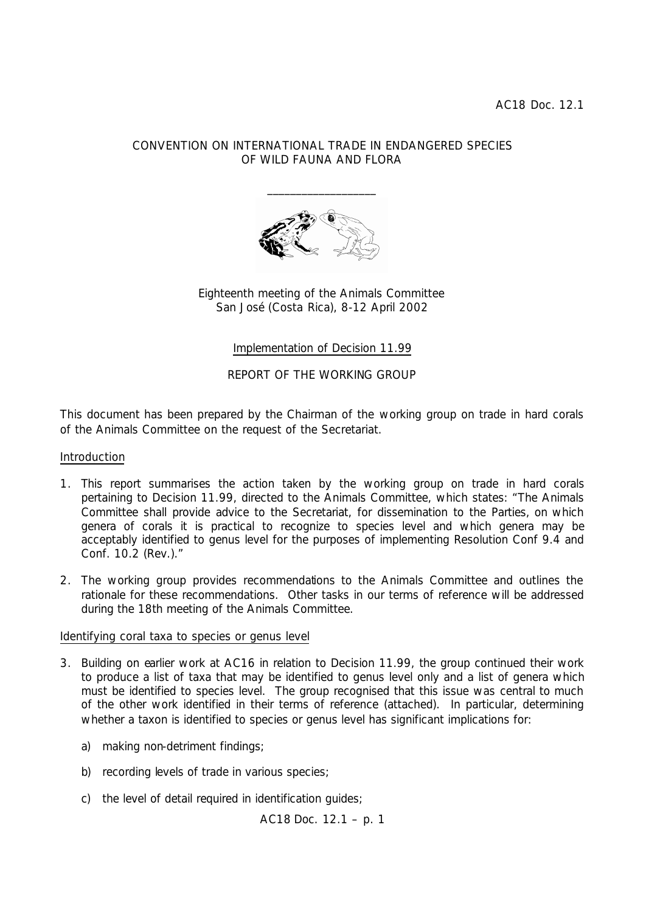### CONVENTION ON INTERNATIONAL TRADE IN ENDANGERED SPECIES OF WILD FAUNA AND FLORA



Eighteenth meeting of the Animals Committee San José (Costa Rica), 8-12 April 2002

Implementation of Decision 11.99

REPORT OF THE WORKING GROUP

This document has been prepared by the Chairman of the working group on trade in hard corals of the Animals Committee on the request of the Secretariat.

#### Introduction

- 1. This report summarises the action taken by the working group on trade in hard corals pertaining to Decision 11.99, directed to the Animals Committee, which states: "The Animals Committee shall provide advice to the Secretariat, for dissemination to the Parties, on which genera of corals it is practical to recognize to species level and which genera may be acceptably identified to genus level for the purposes of implementing Resolution Conf 9.4 and Conf. 10.2 (Rev.)."
- 2. The working group provides recommendations to the Animals Committee and outlines the rationale for these recommendations. Other tasks in our terms of reference will be addressed during the 18th meeting of the Animals Committee.

#### Identifying coral taxa to species or genus level

- 3. Building on earlier work at AC16 in relation to Decision 11.99, the group continued their work to produce a list of taxa that may be identified to genus level only and a list of genera which must be identified to species level. The group recognised that this issue was central to much of the other work identified in their terms of reference (attached). In particular, determining whether a taxon is identified to species or genus level has significant implications for:
	- a) making non-detriment findings;
	- b) recording levels of trade in various species;
	- c) the level of detail required in identification guides;

AC18 Doc. 12.1 – p. 1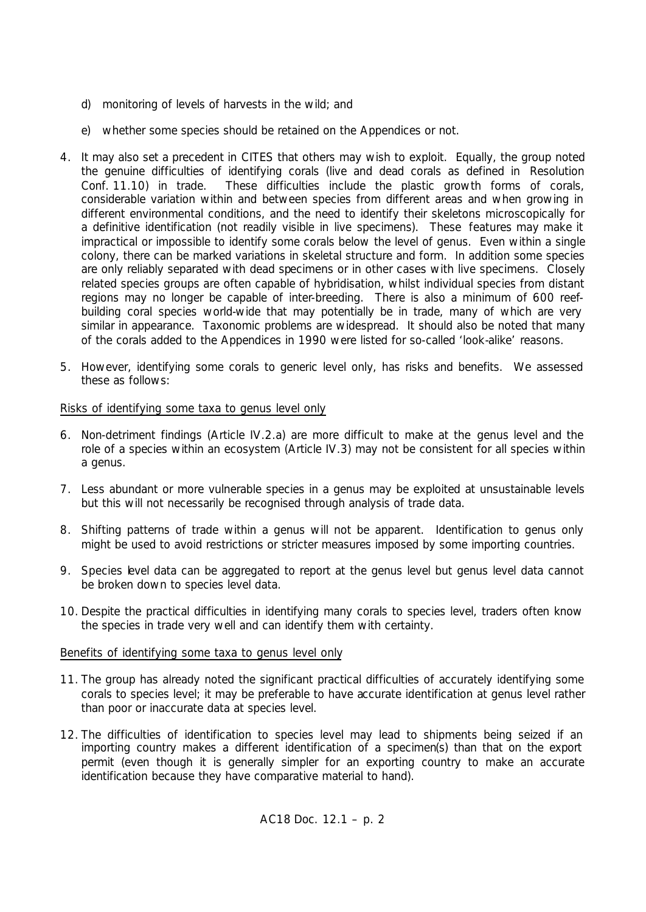- d) monitoring of levels of harvests in the wild; and
- e) whether some species should be retained on the Appendices or not.
- 4. It may also set a precedent in CITES that others may wish to exploit. Equally, the group noted the genuine difficulties of identifying corals (live and dead corals as defined in Resolution Conf. 11.10) in trade. These difficulties include the plastic growth forms of corals, considerable variation within and between species from different areas and when growing in different environmental conditions, and the need to identify their skeletons microscopically for a definitive identification (not readily visible in live specimens). These features may make it impractical or impossible to identify some corals below the level of genus. Even within a single colony, there can be marked variations in skeletal structure and form. In addition some species are only reliably separated with dead specimens or in other cases with live specimens. Closely related species groups are often capable of hybridisation, whilst individual species from distant regions may no longer be capable of inter-breeding. There is also a minimum of 600 reefbuilding coral species world-wide that may potentially be in trade, many of which are very similar in appearance. Taxonomic problems are widespread. It should also be noted that many of the corals added to the Appendices in 1990 were listed for so-called 'look-alike' reasons.
- 5. However, identifying some corals to generic level only, has risks and benefits. We assessed these as follows:

#### Risks of identifying some taxa to genus level only

- 6. Non-detriment findings (Article IV.2.a) are more difficult to make at the genus level and the role of a species within an ecosystem (Article IV.3) may not be consistent for all species within a genus.
- 7. Less abundant or more vulnerable species in a genus may be exploited at unsustainable levels but this will not necessarily be recognised through analysis of trade data.
- 8. Shifting patterns of trade within a genus will not be apparent. Identification to genus only might be used to avoid restrictions or stricter measures imposed by some importing countries.
- 9. Species level data can be aggregated to report at the genus level but genus level data cannot be broken down to species level data.
- 10. Despite the practical difficulties in identifying many corals to species level, traders often know the species in trade very well and can identify them with certainty.

#### Benefits of identifying some taxa to genus level only

- 11. The group has already noted the significant practical difficulties of accurately identifying some corals to species level; it may be preferable to have accurate identification at genus level rather than poor or inaccurate data at species level.
- 12. The difficulties of identification to species level may lead to shipments being seized if an importing country makes a different identification of a specimen(s) than that on the export permit (even though it is generally simpler for an exporting country to make an accurate identification because they have comparative material to hand).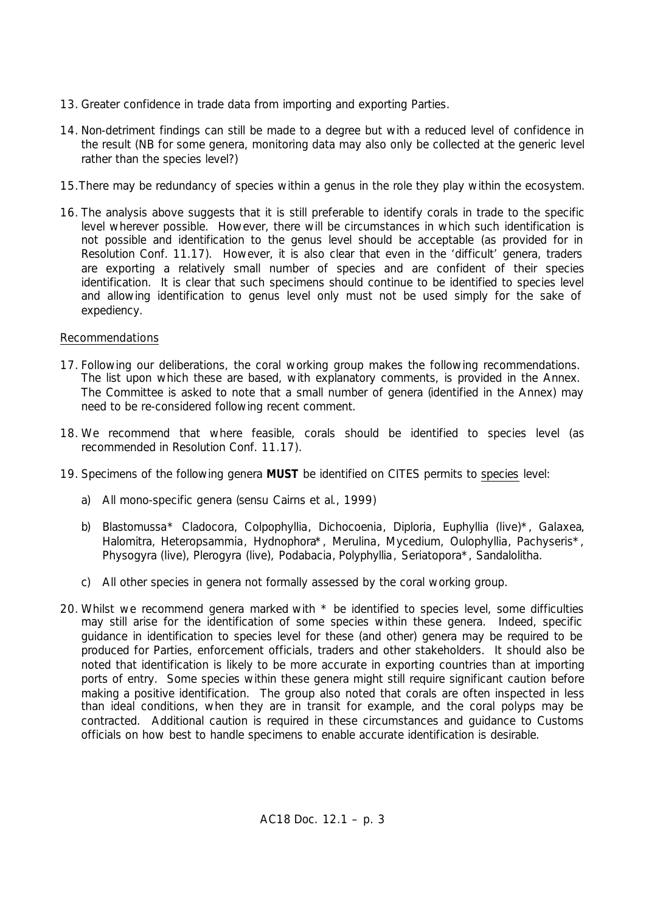- 13. Greater confidence in trade data from importing and exporting Parties.
- 14. Non-detriment findings can still be made to a degree but with a reduced level of confidence in the result (NB for some genera, monitoring data may also only be collected at the generic level rather than the species level?)
- 15.There may be redundancy of species within a genus in the role they play within the ecosystem.
- 16. The analysis above suggests that it is still preferable to identify corals in trade to the specific level wherever possible. However, there will be circumstances in which such identification is not possible and identification to the genus level should be acceptable (as provided for in Resolution Conf. 11.17). However, it is also clear that even in the 'difficult' genera, traders are exporting a relatively small number of species and are confident of their species identification. It is clear that such specimens should continue to be identified to species level and allowing identification to genus level only must not be used simply for the sake of expediency.

### Recommendations

- 17. Following our deliberations, the coral working group makes the following recommendations. The list upon which these are based, with explanatory comments, is provided in the Annex. The Committee is asked to note that a small number of genera (identified in the Annex) may need to be re-considered following recent comment.
- 18. We recommend that where feasible, corals should be identified to species level (as recommended in Resolution Conf. 11.17).
- 19. Specimens of the following genera **MUST** be identified on CITES permits to species level:
	- a) All mono-specific genera (*sensu* Cairns *et al*., 1999)
	- b) *Blastomussa*\* *Cladocora*, *Colpophyllia*, *Dichocoenia*, *Diploria*, *Euphyllia* (live)\*, *Galaxea*, *Halomitra*, *Heteropsammia*, *Hydnophora*\*, *Merulina*, *Mycedium*, *Oulophyllia*, *Pachyseris*\*, *Physogyra* (live), *Plerogyra* (live), *Podabacia*, *Polyphyllia*, *Seriatopora*\*, *Sandalolitha*.
	- c) All other species in genera not formally assessed by the coral working group.
- 20. Whilst we recommend genera marked with  $*$  be identified to species level, some difficulties may still arise for the identification of some species within these genera. Indeed, specific guidance in identification to species level for these (and other) genera may be required to be produced for Parties, enforcement officials, traders and other stakeholders. It should also be noted that identification is likely to be more accurate in exporting countries than at importing ports of entry. Some species within these genera might still require significant caution before making a positive identification. The group also noted that corals are often inspected in less than ideal conditions, when they are in transit for example, and the coral polyps may be contracted. Additional caution is required in these circumstances and guidance to Customs officials on how best to handle specimens to enable accurate identification is desirable.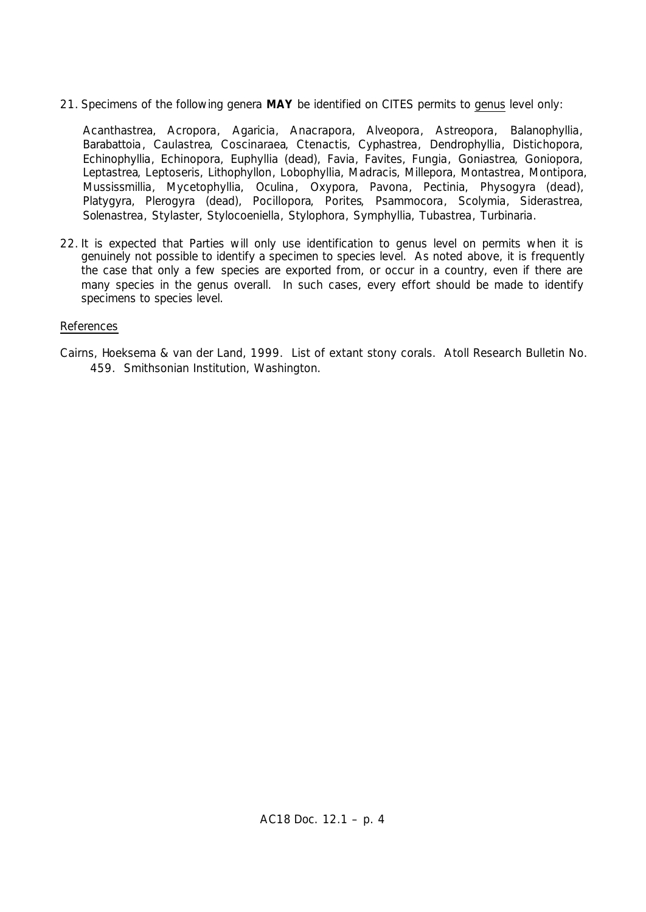21. Specimens of the following genera **MAY** be identified on CITES permits to genus level only:

*Acanthastrea*, *Acropora*, *Agaricia*, *Anacrapora*, *Alveopora*, *Astreopora*, *Balanophyllia*, *Barabattoia*, *Caulastrea*, *Coscinaraea*, *Ctenactis*, *Cyphastrea*, *Dendrophyllia*, *Distichopora*, *Echinophyllia*, *Echinopora*, *Euphyllia* (dead), *Favia*, *Favites*, *Fungia*, *Goniastrea*, *Goniopora*, *Leptastrea*, *Leptoseris*, *Lithophyllon*, *Lobophyllia*, *Madracis*, *Millepora*, *Montastrea*, *Montipora*, *Mussissmillia*, *Mycetophyllia*, *Oculina*, *Oxypora*, *Pavona*, *Pectinia*, *Physogyra* (dead), *Platygyra*, *Plerogyra* (dead), *Pocillopora*, *Porites*, *Psammocora*, *Scolymia*, *Siderastrea*, *Solenastrea*, *Stylaster*, *Stylocoeniella*, *Stylophora*, *Symphyllia*, *Tubastrea*, *Turbinaria*.

22. It is expected that Parties will only use identification to genus level on permits when it is genuinely not possible to identify a specimen to species level. As noted above, it is frequently the case that only a few species are exported from, or occur in a country, even if there are many species in the genus overall. In such cases, every effort should be made to identify specimens to species level.

#### References

Cairns, Hoeksema & van der Land, 1999. List of extant stony corals. Atoll Research Bulletin No. 459. Smithsonian Institution, Washington.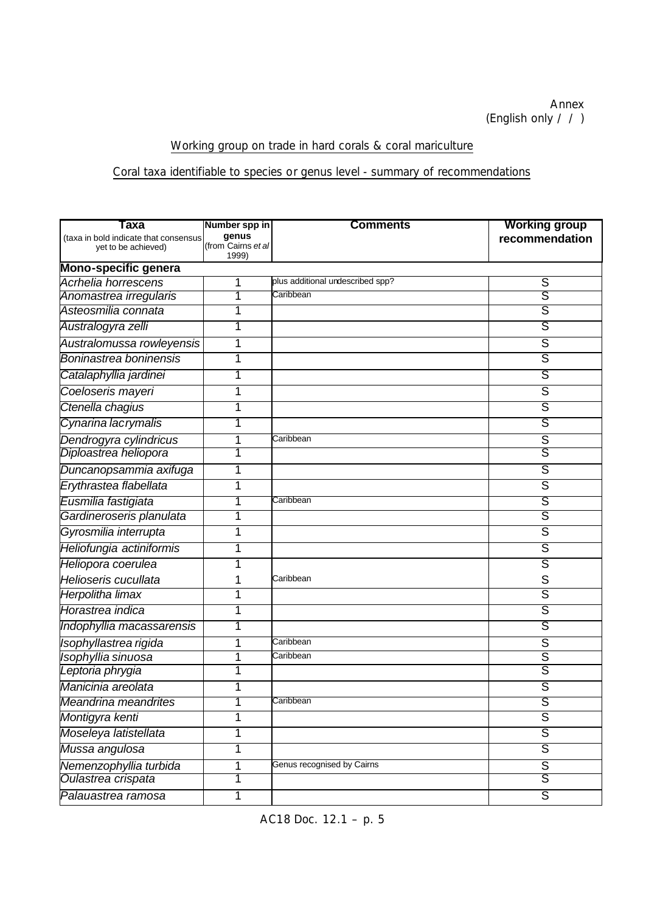# Working group on trade in hard corals & coral mariculture

# Coral taxa identifiable to species or genus level - summary of recommendations

| Taxa                                  | Number spp in               | <b>Comments</b>                  | <b>Working group</b>    |  |  |  |
|---------------------------------------|-----------------------------|----------------------------------|-------------------------|--|--|--|
| (taxa in bold indicate that consensus | genus                       |                                  | recommendation          |  |  |  |
| yet to be achieved)                   | (from Cairns et al<br>1999) |                                  |                         |  |  |  |
| Mono-specific genera                  |                             |                                  |                         |  |  |  |
| Acrhelia horrescens                   | 1                           | plus additional undescribed spp? | S                       |  |  |  |
| Anomastrea irregularis                | 7                           | Caribbean                        | S                       |  |  |  |
| Asteosmilia connata                   | 1                           |                                  | ड                       |  |  |  |
| Australogyra zelli                    | 1                           |                                  | ऽ                       |  |  |  |
| Australomussa rowleyensis             | 1                           |                                  | ड                       |  |  |  |
| Boninastrea boninensis                | 1                           |                                  | S                       |  |  |  |
| Catalaphyllia jardinei                | 1                           |                                  | S                       |  |  |  |
| Coeloseris mayeri                     | 1                           |                                  | $\overline{S}$          |  |  |  |
| Ctenella chagius                      | 1                           |                                  | $\overline{S}$          |  |  |  |
| Cynarina lacrymalis                   | 1                           |                                  | ऽ                       |  |  |  |
| Dendrogyra cylindricus                | 1                           | Caribbean                        | S                       |  |  |  |
| Diploastrea heliopora                 | 1                           |                                  | S                       |  |  |  |
| Duncanopsammia axifuga                | 1                           |                                  | $\overline{S}$          |  |  |  |
| Erythrastea flabellata                | 1                           |                                  | $\overline{S}$          |  |  |  |
| Eusmilia fastigiata                   | 1                           | Caribbean                        | ड                       |  |  |  |
| Gardineroseris planulata              | 1                           |                                  | $\overline{\mathsf{s}}$ |  |  |  |
| Gyrosmilia interrupta                 | 1                           |                                  | $\overline{\mathsf{s}}$ |  |  |  |
| Heliofungia actiniformis              | 1                           |                                  | ऽ                       |  |  |  |
| Heliopora coerulea                    | 1                           |                                  | $\overline{\mathsf{s}}$ |  |  |  |
| Helioseris cucullata                  | 1                           | Caribbean                        | S                       |  |  |  |
| Herpolitha limax                      | 1                           |                                  | $\overline{\mathsf{s}}$ |  |  |  |
| Horastrea indica                      | 1                           |                                  | $\overline{\mathsf{s}}$ |  |  |  |
| Indophyllia macassarensis             | 1                           |                                  | ऽ                       |  |  |  |
| Isophyllastrea rigida                 | 1                           | Caribbean                        | $\overline{\mathsf{s}}$ |  |  |  |
| Isophyllia sinuosa                    | 1                           | Caribbean                        | $\overline{\mathsf{s}}$ |  |  |  |
| Leptoria phrygia                      | 1                           |                                  | $\overline{\mathsf{s}}$ |  |  |  |
| Manicinia areolata                    | 1                           |                                  | $\overline{S}$          |  |  |  |
| Meandrina meandrites                  | 1                           | Caribbean                        | S                       |  |  |  |
| Montigyra kenti                       | 1                           |                                  | $\overline{\mathsf{s}}$ |  |  |  |
| Moseleya latistellata                 | 1                           |                                  | $\overline{\mathsf{s}}$ |  |  |  |
| Mussa angulosa                        | 1                           |                                  | S                       |  |  |  |
| Nemenzophyllia turbida                | 1                           | Genus recognised by Cairns       | $\overline{S}$          |  |  |  |
| Oulastrea crispata                    | 1                           |                                  | S                       |  |  |  |
| Palauastrea ramosa                    | 1                           |                                  | $\overline{S}$          |  |  |  |

AC18 Doc. 12.1 – p. 5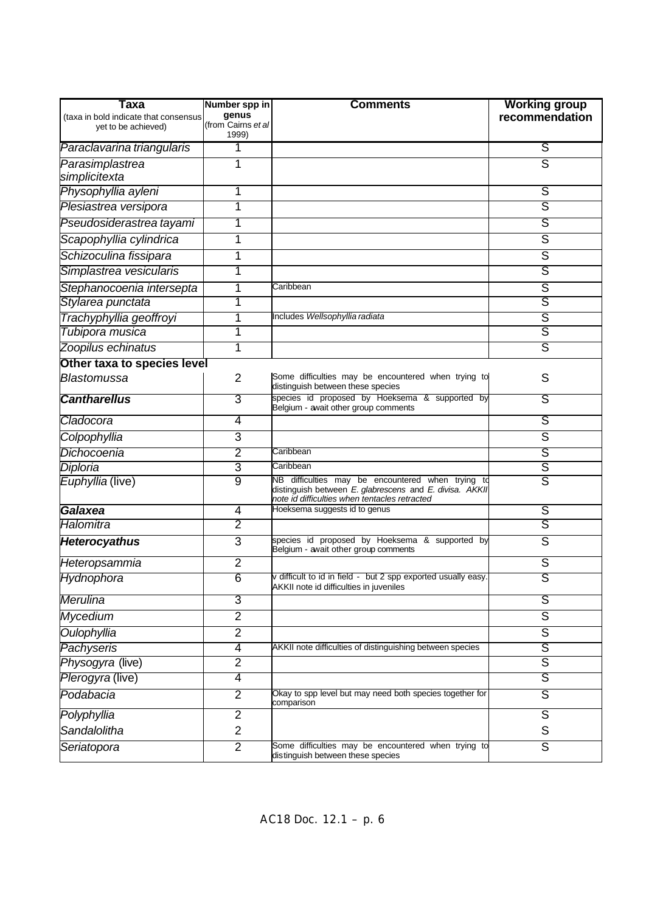| Taxa                                  | Number spp in               | <b>Comments</b>                                                                                                                                               | <b>Working group</b>    |
|---------------------------------------|-----------------------------|---------------------------------------------------------------------------------------------------------------------------------------------------------------|-------------------------|
| (taxa in bold indicate that consensus | genus<br>(from Cairns et al |                                                                                                                                                               | recommendation          |
| yet to be achieved)                   | 1999)                       |                                                                                                                                                               |                         |
| Paraclavarina triangularis            | 1                           |                                                                                                                                                               | ऽ                       |
| Parasimplastrea                       | 1                           |                                                                                                                                                               | S                       |
| simplicitexta                         |                             |                                                                                                                                                               |                         |
| Physophyllia ayleni                   | 1                           |                                                                                                                                                               | ऽ                       |
| Plesiastrea versipora                 | 1                           |                                                                                                                                                               | ड                       |
| Pseudosiderastrea tayami              | 1                           |                                                                                                                                                               | ऽ                       |
| Scapophyllia cylindrica               | 1                           |                                                                                                                                                               | S                       |
| Schizoculina fissipara                | 1                           |                                                                                                                                                               | $\overline{S}$          |
| Simplastrea vesicularis               | 1                           |                                                                                                                                                               | S                       |
| Stephanocoenia intersepta             | 1                           | Caribbean                                                                                                                                                     | S                       |
| Stylarea punctata                     | 1                           |                                                                                                                                                               | S                       |
| Trachyphyllia geoffroyi               | 1                           | Includes Wellsophyllia radiata                                                                                                                                | S                       |
| Tubipora musica                       | 1                           |                                                                                                                                                               | $\overline{\mathsf{s}}$ |
| Zoopilus echinatus                    | 1                           |                                                                                                                                                               | S                       |
| Other taxa to species level           |                             |                                                                                                                                                               |                         |
| <b>Blastomussa</b>                    | $\overline{2}$              | Some difficulties may be encountered when trying to<br>distinguish between these species                                                                      | S                       |
| <b>Cantharellus</b>                   | 3                           | species id proposed by Hoeksema & supported by<br>Belgium - await other group comments                                                                        | ऽ                       |
| Cladocora                             | 4                           |                                                                                                                                                               | ऽ                       |
| Colpophyllia                          | 3                           |                                                                                                                                                               | ड                       |
| Dichocoenia                           | $\overline{2}$              | Caribbean                                                                                                                                                     | S                       |
| Diploria                              | 3                           | Caribbean                                                                                                                                                     | $\overline{\mathsf{s}}$ |
| Euphyllia (live)                      | $\overline{9}$              | NB difficulties may be encountered when trying td<br>distinguish between E. glabrescens and E. divisa. AKKII<br>note id difficulties when tentacles retracted | $\overline{\mathsf{s}}$ |
| Galaxea                               | 4                           | Hoeksema suggests id to genus                                                                                                                                 | S                       |
| Halomitra                             | $\overline{2}$              |                                                                                                                                                               | ड                       |
| <b>Heterocyathus</b>                  | 3                           | species id proposed by Hoeksema & supported by<br>Belgium - avait other group comments                                                                        | $\overline{S}$          |
| Heteropsammia                         | $\overline{2}$              |                                                                                                                                                               | S                       |
| Hydnophora                            | $\overline{6}$              | v difficult to id in field - but 2 spp exported usually easy.<br>AKKII note id difficulties in juveniles                                                      | S                       |
| Merulina                              | 3                           |                                                                                                                                                               | ड                       |
| <b>Mycedium</b>                       | $\overline{2}$              |                                                                                                                                                               | ड                       |
| Oulophyllia                           | $\overline{2}$              |                                                                                                                                                               | $\overline{S}$          |
| Pachyseris                            | $\overline{4}$              | AKKII note difficulties of distinguishing between species                                                                                                     | ऽ                       |
| Physogyra (live)                      | $\overline{2}$              |                                                                                                                                                               | $\overline{\mathsf{s}}$ |
| Plerogyra (live)                      | $\overline{4}$              |                                                                                                                                                               | ऽ                       |
| Podabacia                             | $\overline{2}$              | Okay to spp level but may need both species together for<br>comparison                                                                                        | $\overline{S}$          |
| Polyphyllia                           | $\overline{2}$              |                                                                                                                                                               | $\overline{S}$          |
| Sandalolitha                          | $\overline{2}$              |                                                                                                                                                               | S                       |
| Seriatopora                           | $\overline{2}$              | Some difficulties may be encountered when trying to<br>distinguish between these species                                                                      | $\overline{\mathsf{s}}$ |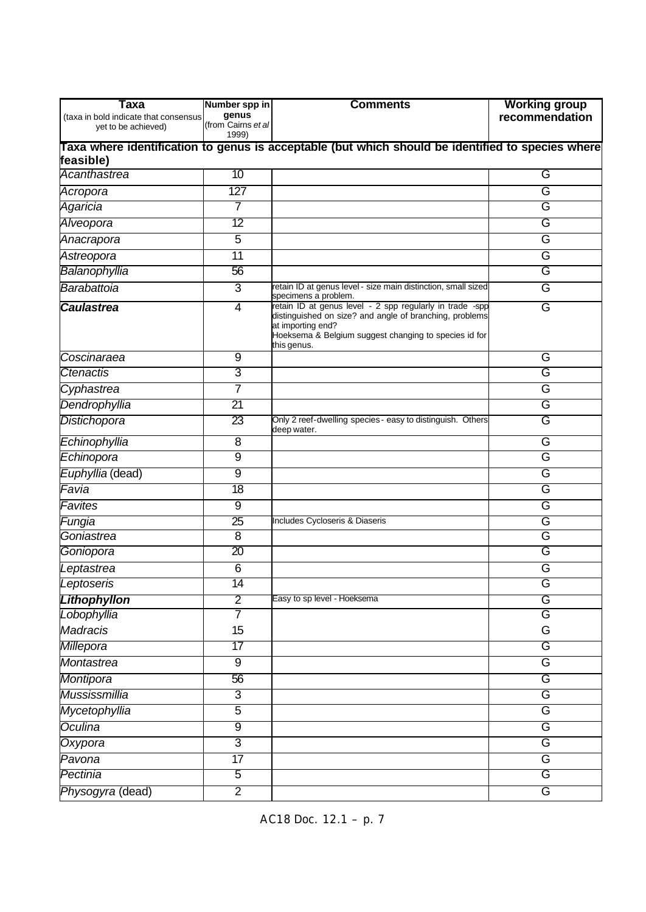| Taxa                                                                                              | Number spp in               | <b>Comments</b>                                                                                                                                                                                                  | <b>Working group</b> |  |  |  |
|---------------------------------------------------------------------------------------------------|-----------------------------|------------------------------------------------------------------------------------------------------------------------------------------------------------------------------------------------------------------|----------------------|--|--|--|
| (taxa in bold indicate that consensus<br>yet to be achieved)                                      | genus<br>(from Cairns et al |                                                                                                                                                                                                                  | recommendation       |  |  |  |
|                                                                                                   | 1999)                       |                                                                                                                                                                                                                  |                      |  |  |  |
| Taxa where identification to genus is acceptable (but which should be identified to species where |                             |                                                                                                                                                                                                                  |                      |  |  |  |
| feasible)                                                                                         |                             |                                                                                                                                                                                                                  |                      |  |  |  |
| Acanthastrea                                                                                      | 10                          |                                                                                                                                                                                                                  | G                    |  |  |  |
| Acropora                                                                                          | 127                         |                                                                                                                                                                                                                  | G                    |  |  |  |
| Agaricia                                                                                          | 7                           |                                                                                                                                                                                                                  | G                    |  |  |  |
| Alveopora                                                                                         | 12                          |                                                                                                                                                                                                                  | G                    |  |  |  |
| Anacrapora                                                                                        | 5                           |                                                                                                                                                                                                                  | G                    |  |  |  |
| Astreopora                                                                                        | 11                          |                                                                                                                                                                                                                  | G                    |  |  |  |
| Balanophyllia                                                                                     | 56                          |                                                                                                                                                                                                                  | G                    |  |  |  |
| Barabattoia                                                                                       | 3                           | retain ID at genus level - size main distinction, small sized<br>specimens a problem.                                                                                                                            | G                    |  |  |  |
| <b>Caulastrea</b>                                                                                 | $\overline{4}$              | retain ID at genus level - 2 spp regularly in trade -spp<br>distinguished on size? and angle of branching, problems<br>at importing end?<br>Hoeksema & Belgium suggest changing to species id for<br>this genus. | G                    |  |  |  |
| Coscinaraea                                                                                       | 9                           |                                                                                                                                                                                                                  | G                    |  |  |  |
| Ctenactis                                                                                         | 3                           |                                                                                                                                                                                                                  | G                    |  |  |  |
| Cyphastrea                                                                                        | 7                           |                                                                                                                                                                                                                  | G                    |  |  |  |
| Dendrophyllia                                                                                     | 21                          |                                                                                                                                                                                                                  | G                    |  |  |  |
| Distichopora                                                                                      | 23                          | Only 2 reef-dwelling species - easy to distinguish. Others<br>deep water.                                                                                                                                        | G                    |  |  |  |
| Echinophyllia                                                                                     | 8                           |                                                                                                                                                                                                                  | G                    |  |  |  |
| Echinopora                                                                                        | 9                           |                                                                                                                                                                                                                  | G                    |  |  |  |
| Euphyllia (dead)                                                                                  | $\overline{9}$              |                                                                                                                                                                                                                  | G                    |  |  |  |
| Favia                                                                                             | $\overline{18}$             |                                                                                                                                                                                                                  | G                    |  |  |  |
| Favites                                                                                           | 9                           |                                                                                                                                                                                                                  | G                    |  |  |  |
| Fungia                                                                                            | 25                          | Includes Cycloseris & Diaseris                                                                                                                                                                                   | G                    |  |  |  |
| Goniastrea                                                                                        | 8                           |                                                                                                                                                                                                                  | G                    |  |  |  |
| Goniopora                                                                                         | $\overline{20}$             |                                                                                                                                                                                                                  | G                    |  |  |  |
| Leptastrea                                                                                        | $\overline{6}$              |                                                                                                                                                                                                                  | G                    |  |  |  |
| Leptoseris                                                                                        | 14                          |                                                                                                                                                                                                                  | G                    |  |  |  |
| <b>Lithophyllon</b>                                                                               | $\overline{2}$              | Easy to sp level - Hoeksema                                                                                                                                                                                      | G                    |  |  |  |
| Lobophyllia                                                                                       | 7                           |                                                                                                                                                                                                                  | G                    |  |  |  |
| <b>Madracis</b>                                                                                   | 15                          |                                                                                                                                                                                                                  | G                    |  |  |  |
| Millepora                                                                                         | 17                          |                                                                                                                                                                                                                  | G                    |  |  |  |
| <b>Montastrea</b>                                                                                 | $9\,$                       |                                                                                                                                                                                                                  | G                    |  |  |  |
| Montipora                                                                                         | 56                          |                                                                                                                                                                                                                  | G                    |  |  |  |
| Mussissmillia                                                                                     | 3                           |                                                                                                                                                                                                                  | G                    |  |  |  |
| Mycetophyllia                                                                                     | $\overline{5}$              |                                                                                                                                                                                                                  | G                    |  |  |  |
| Oculina                                                                                           | $\overline{9}$              |                                                                                                                                                                                                                  | G                    |  |  |  |
| Oxypora                                                                                           | $\overline{3}$              |                                                                                                                                                                                                                  | G                    |  |  |  |
| Pavona                                                                                            | $\overline{17}$             |                                                                                                                                                                                                                  | G                    |  |  |  |
| Pectinia                                                                                          | $\overline{5}$              |                                                                                                                                                                                                                  | G                    |  |  |  |
| Physogyra (dead)                                                                                  | $\overline{2}$              |                                                                                                                                                                                                                  | G                    |  |  |  |
|                                                                                                   |                             |                                                                                                                                                                                                                  |                      |  |  |  |

AC18 Doc. 12.1 – p. 7